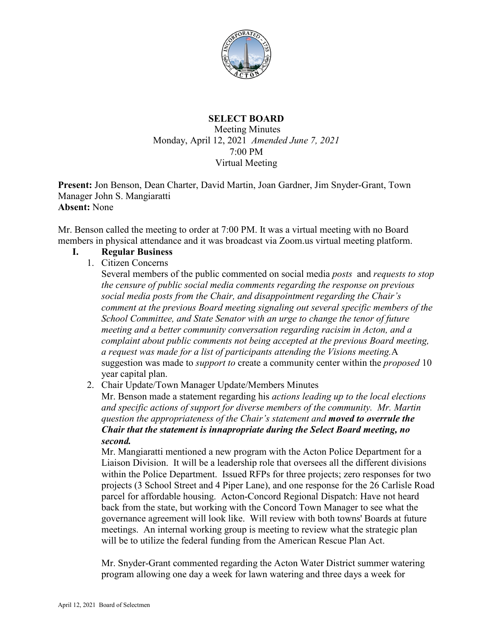

# **SELECT BOARD** Meeting Minutes Monday, April 12, 2021 *Amended June 7, 2021* 7:00 PM Virtual Meeting

**Present:** Jon Benson, Dean Charter, David Martin, Joan Gardner, Jim Snyder-Grant, Town Manager John S. Mangiaratti **Absent:** None

Mr. Benson called the meeting to order at 7:00 PM. It was a virtual meeting with no Board members in physical attendance and it was broadcast via Zoom.us virtual meeting platform.

#### **I. Regular Business**

1. Citizen Concerns

Several members of the public commented on social media *posts* and *requests to stop the censure of public social media comments regarding the response on previous social media posts from the Chair, and disappointment regarding the Chair's comment at the previous Board meeting signaling out several specific members of the School Committee, and State Senator with an urge to change the tenor of future meeting and a better community conversation regarding racisim in Acton, and a complaint about public comments not being accepted at the previous Board meeting, a request was made for a list of participants attending the Visions meeting.*A suggestion was made to *support to* create a community center within the *proposed* 10 year capital plan.

2. Chair Update/Town Manager Update/Members Minutes

Mr. Benson made a statement regarding his *actions leading up to the local elections and specific actions of support for diverse members of the community. Mr. Martin question the appropriateness of the Chair's statement and moved to overrule the Chair that the statement is innapropriate during the Select Board meeting, no second.*

Mr. Mangiaratti mentioned a new program with the Acton Police Department for a Liaison Division. It will be a leadership role that oversees all the different divisions within the Police Department. Issued RFPs for three projects; zero responses for two projects (3 School Street and 4 Piper Lane), and one response for the 26 Carlisle Road parcel for affordable housing. Acton-Concord Regional Dispatch: Have not heard back from the state, but working with the Concord Town Manager to see what the governance agreement will look like. Will review with both towns' Boards at future meetings. An internal working group is meeting to review what the strategic plan will be to utilize the federal funding from the American Rescue Plan Act.

Mr. Snyder-Grant commented regarding the Acton Water District summer watering program allowing one day a week for lawn watering and three days a week for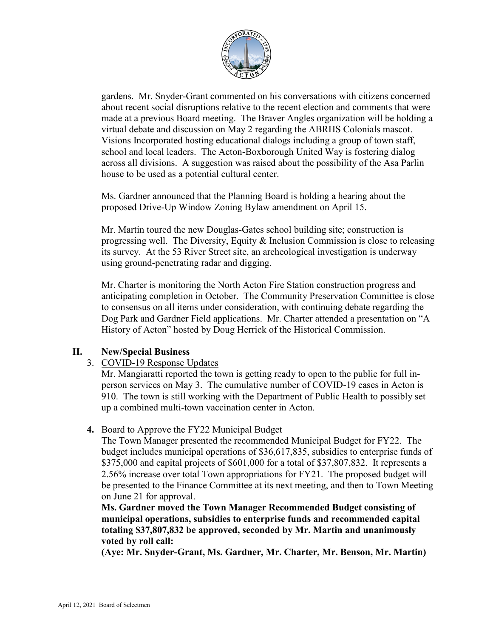

gardens. Mr. Snyder-Grant commented on his conversations with citizens concerned about recent social disruptions relative to the recent election and comments that were made at a previous Board meeting. The Braver Angles organization will be holding a virtual debate and discussion on May 2 regarding the ABRHS Colonials mascot. Visions Incorporated hosting educational dialogs including a group of town staff, school and local leaders. The Acton-Boxborough United Way is fostering dialog across all divisions. A suggestion was raised about the possibility of the Asa Parlin house to be used as a potential cultural center.

Ms. Gardner announced that the Planning Board is holding a hearing about the proposed Drive-Up Window Zoning Bylaw amendment on April 15.

Mr. Martin toured the new Douglas-Gates school building site; construction is progressing well. The Diversity, Equity & Inclusion Commission is close to releasing its survey. At the 53 River Street site, an archeological investigation is underway using ground-penetrating radar and digging.

Mr. Charter is monitoring the North Acton Fire Station construction progress and anticipating completion in October. The Community Preservation Committee is close to consensus on all items under consideration, with continuing debate regarding the Dog Park and Gardner Field applications. Mr. Charter attended a presentation on "A History of Acton" hosted by Doug Herrick of the Historical Commission.

# **II. New/Special Business**

3. COVID-19 Response Updates

Mr. Mangiaratti reported the town is getting ready to open to the public for full inperson services on May 3. The cumulative number of COVID-19 cases in Acton is 910. The town is still working with the Department of Public Health to possibly set up a combined multi-town vaccination center in Acton.

# **4.** Board to Approve the FY22 Municipal Budget

The Town Manager presented the recommended Municipal Budget for FY22. The budget includes municipal operations of \$36,617,835, subsidies to enterprise funds of \$375,000 and capital projects of \$601,000 for a total of \$37,807,832. It represents a 2.56% increase over total Town appropriations for FY21. The proposed budget will be presented to the Finance Committee at its next meeting, and then to Town Meeting on June 21 for approval.

**Ms. Gardner moved the Town Manager Recommended Budget consisting of municipal operations, subsidies to enterprise funds and recommended capital totaling \$37,807,832 be approved, seconded by Mr. Martin and unanimously voted by roll call:**

**(Aye: Mr. Snyder-Grant, Ms. Gardner, Mr. Charter, Mr. Benson, Mr. Martin)**